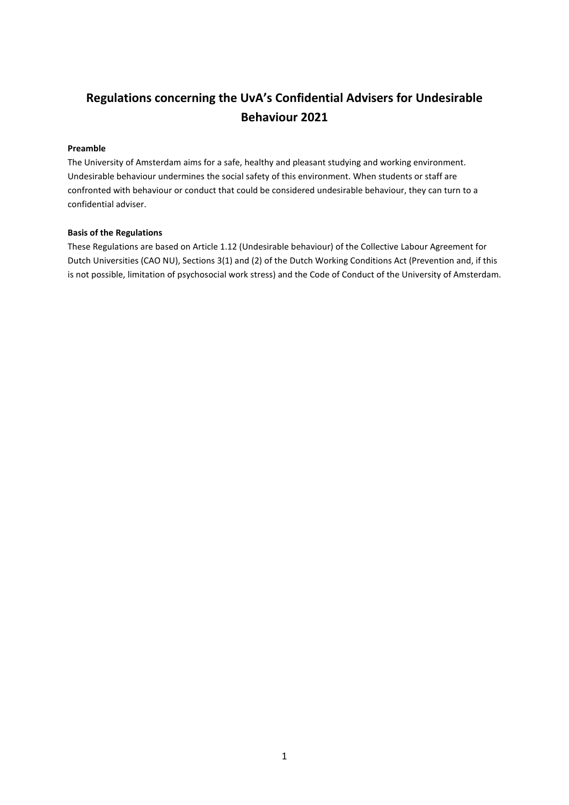# **Regulations concerning the UvA's Confidential Advisers for Undesirable Behaviour 2021**

## **Preamble**

The University of Amsterdam aims for a safe, healthy and pleasant studying and working environment. Undesirable behaviour undermines the social safety of this environment. When students or staff are confronted with behaviour or conduct that could be considered undesirable behaviour, they can turn to a confidential adviser.

#### **Basis of the Regulations**

These Regulations are based on Article 1.12 (Undesirable behaviour) of the Collective Labour Agreement for Dutch Universities (CAO NU), Sections 3(1) and (2) of the Dutch Working Conditions Act (Prevention and, if this is not possible, limitation of psychosocial work stress) and the Code of Conduct of the University of Amsterdam.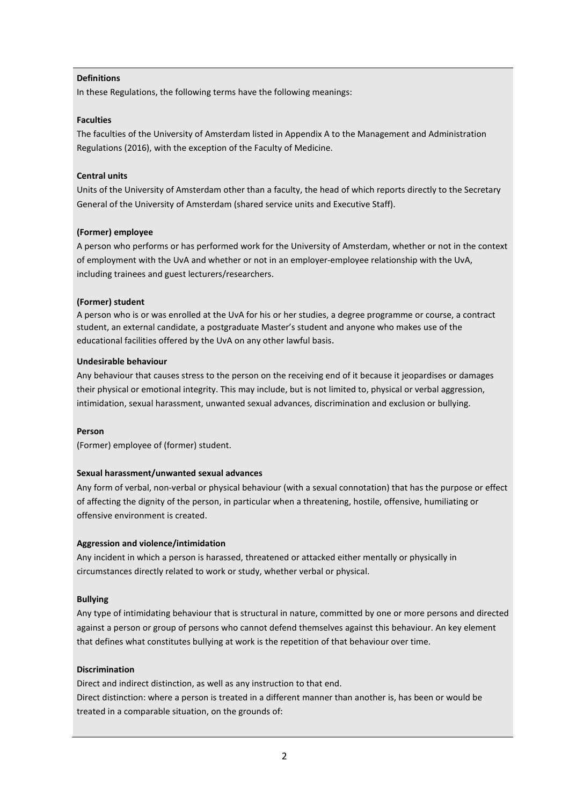#### **Definitions**

In these Regulations, the following terms have the following meanings:

#### **Faculties**

The faculties of the University of Amsterdam listed in Appendix A to the Management and Administration Regulations (2016), with the exception of the Faculty of Medicine.

#### **Central units**

Units of the University of Amsterdam other than a faculty, the head of which reports directly to the Secretary General of the University of Amsterdam (shared service units and Executive Staff).

#### **(Former) employee**

A person who performs or has performed work for the University of Amsterdam, whether or not in the context of employment with the UvA and whether or not in an employer-employee relationship with the UvA, including trainees and guest lecturers/researchers.

#### **(Former) student**

A person who is or was enrolled at the UvA for his or her studies, a degree programme or course, a contract student, an external candidate, a postgraduate Master's student and anyone who makes use of the educational facilities offered by the UvA on any other lawful basis.

#### **Undesirable behaviour**

Any behaviour that causes stress to the person on the receiving end of it because it jeopardises or damages their physical or emotional integrity. This may include, but is not limited to, physical or verbal aggression, intimidation, sexual harassment, unwanted sexual advances, discrimination and exclusion or bullying.

#### **Person**

(Former) employee of (former) student.

#### **Sexual harassment/unwanted sexual advances**

Any form of verbal, non-verbal or physical behaviour (with a sexual connotation) that has the purpose or effect of affecting the dignity of the person, in particular when a threatening, hostile, offensive, humiliating or offensive environment is created.

#### **Aggression and violence/intimidation**

Any incident in which a person is harassed, threatened or attacked either mentally or physically in circumstances directly related to work or study, whether verbal or physical.

#### **Bullying**

Any type of intimidating behaviour that is structural in nature, committed by one or more persons and directed against a person or group of persons who cannot defend themselves against this behaviour. An key element that defines what constitutes bullying at work is the repetition of that behaviour over time.

#### **Discrimination**

Direct and indirect distinction, as well as any instruction to that end. Direct distinction: where a person is treated in a different manner than another is, has been or would be treated in a comparable situation, on the grounds of: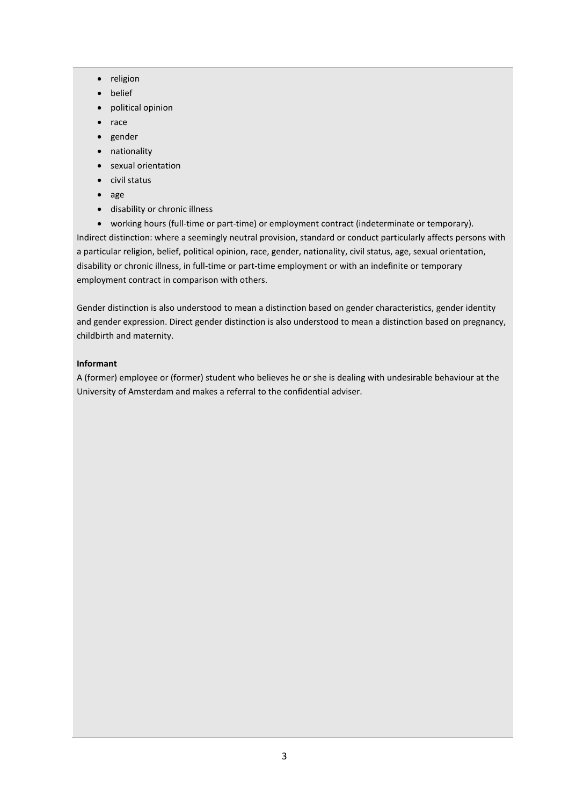- religion
- belief
- political opinion
- race
- gender
- nationality
- sexual orientation
- civil status
- age
- disability or chronic illness

• working hours (full-time or part-time) or employment contract (indeterminate or temporary). Indirect distinction: where a seemingly neutral provision, standard or conduct particularly affects persons with a particular religion, belief, political opinion, race, gender, nationality, civil status, age, sexual orientation, disability or chronic illness, in full-time or part-time employment or with an indefinite or temporary employment contract in comparison with others.

Gender distinction is also understood to mean a distinction based on gender characteristics, gender identity and gender expression. Direct gender distinction is also understood to mean a distinction based on pregnancy, childbirth and maternity.

# **Informant**

A (former) employee or (former) student who believes he or she is dealing with undesirable behaviour at the University of Amsterdam and makes a referral to the confidential adviser.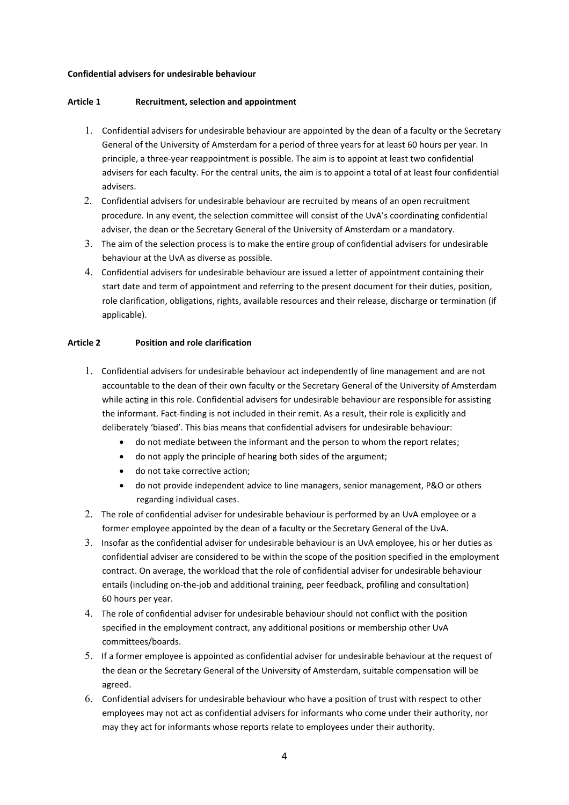#### **Confidential advisers for undesirable behaviour**

#### **Article 1 Recruitment, selection and appointment**

- 1. Confidential advisers for undesirable behaviour are appointed by the dean of a faculty or the Secretary General of the University of Amsterdam for a period of three years for at least 60 hours per year. In principle, a three-year reappointment is possible. The aim is to appoint at least two confidential advisers for each faculty. For the central units, the aim is to appoint a total of at least four confidential advisers.
- 2. Confidential advisers for undesirable behaviour are recruited by means of an open recruitment procedure. In any event, the selection committee will consist of the UvA's coordinating confidential adviser, the dean or the Secretary General of the University of Amsterdam or a mandatory.
- 3. The aim of the selection process is to make the entire group of confidential advisers for undesirable behaviour at the UvA as diverse as possible.
- 4. Confidential advisers for undesirable behaviour are issued a letter of appointment containing their start date and term of appointment and referring to the present document for their duties, position, role clarification, obligations, rights, available resources and their release, discharge or termination (if applicable).

#### **Article 2 Position and role clarification**

- 1. Confidential advisers for undesirable behaviour act independently of line management and are not accountable to the dean of their own faculty or the Secretary General of the University of Amsterdam while acting in this role. Confidential advisers for undesirable behaviour are responsible for assisting the informant. Fact-finding is not included in their remit. As a result, their role is explicitly and deliberately 'biased'. This bias means that confidential advisers for undesirable behaviour:
	- do not mediate between the informant and the person to whom the report relates;
	- do not apply the principle of hearing both sides of the argument;
	- do not take corrective action;
	- do not provide independent advice to line managers, senior management, P&O or others regarding individual cases.
- 2. The role of confidential adviser for undesirable behaviour is performed by an UvA employee or a former employee appointed by the dean of a faculty or the Secretary General of the UvA.
- 3. Insofar as the confidential adviser for undesirable behaviour is an UvA employee, his or her duties as confidential adviser are considered to be within the scope of the position specified in the employment contract. On average, the workload that the role of confidential adviser for undesirable behaviour entails (including on-the-job and additional training, peer feedback, profiling and consultation) 60 hours per year.
- 4. The role of confidential adviser for undesirable behaviour should not conflict with the position specified in the employment contract, any additional positions or membership other UvA committees/boards.
- 5. If a former employee is appointed as confidential adviser for undesirable behaviour at the request of the dean or the Secretary General of the University of Amsterdam, suitable compensation will be agreed.
- 6. Confidential advisers for undesirable behaviour who have a position of trust with respect to other employees may not act as confidential advisers for informants who come under their authority, nor may they act for informants whose reports relate to employees under their authority.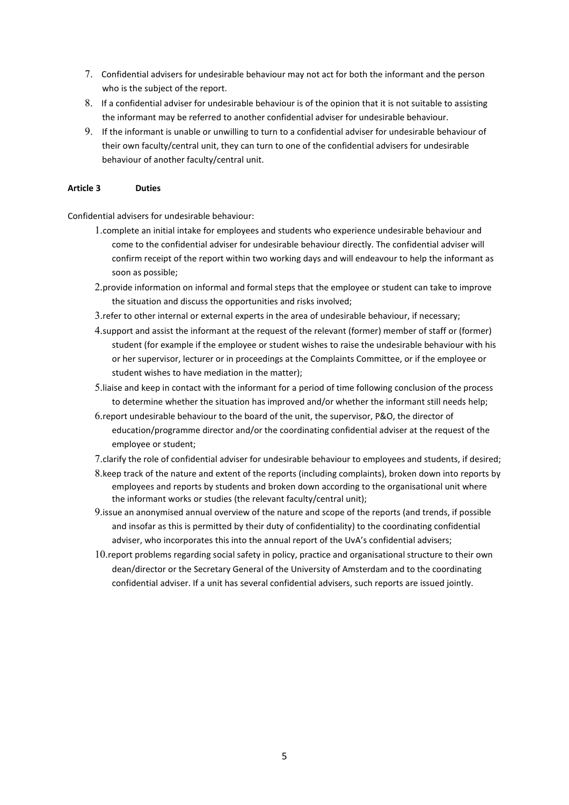- 7. Confidential advisers for undesirable behaviour may not act for both the informant and the person who is the subject of the report.
- 8. If a confidential adviser for undesirable behaviour is of the opinion that it is not suitable to assisting the informant may be referred to another confidential adviser for undesirable behaviour.
- 9. If the informant is unable or unwilling to turn to a confidential adviser for undesirable behaviour of their own faculty/central unit, they can turn to one of the confidential advisers for undesirable behaviour of another faculty/central unit.

## **Article 3 Duties**

Confidential advisers for undesirable behaviour:

- 1.complete an initial intake for employees and students who experience undesirable behaviour and come to the confidential adviser for undesirable behaviour directly. The confidential adviser will confirm receipt of the report within two working days and will endeavour to help the informant as soon as possible;
- 2.provide information on informal and formal steps that the employee or student can take to improve the situation and discuss the opportunities and risks involved;
- 3.refer to other internal or external experts in the area of undesirable behaviour, if necessary;
- 4.support and assist the informant at the request of the relevant (former) member of staff or (former) student (for example if the employee or student wishes to raise the undesirable behaviour with his or her supervisor, lecturer or in proceedings at the Complaints Committee, or if the employee or student wishes to have mediation in the matter);
- 5.liaise and keep in contact with the informant for a period of time following conclusion of the process to determine whether the situation has improved and/or whether the informant still needs help;
- 6.report undesirable behaviour to the board of the unit, the supervisor, P&O, the director of education/programme director and/or the coordinating confidential adviser at the request of the employee or student;

7.clarify the role of confidential adviser for undesirable behaviour to employees and students, if desired;

- 8.keep track of the nature and extent of the reports (including complaints), broken down into reports by employees and reports by students and broken down according to the organisational unit where the informant works or studies (the relevant faculty/central unit);
- 9.issue an anonymised annual overview of the nature and scope of the reports (and trends, if possible and insofar as this is permitted by their duty of confidentiality) to the coordinating confidential adviser, who incorporates this into the annual report of the UvA's confidential advisers;
- 10.report problems regarding social safety in policy, practice and organisational structure to their own dean/director or the Secretary General of the University of Amsterdam and to the coordinating confidential adviser. If a unit has several confidential advisers, such reports are issued jointly.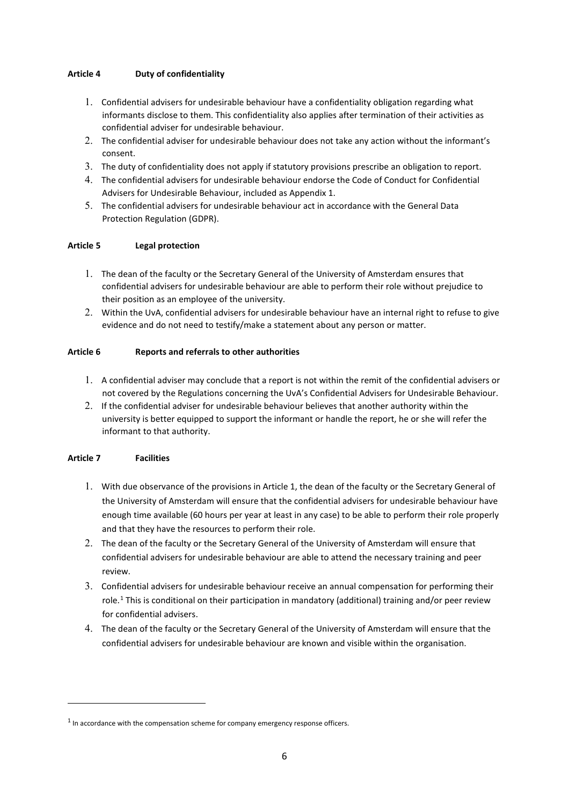# **Article 4 Duty of confidentiality**

- 1. Confidential advisers for undesirable behaviour have a confidentiality obligation regarding what informants disclose to them. This confidentiality also applies after termination of their activities as confidential adviser for undesirable behaviour.
- 2. The confidential adviser for undesirable behaviour does not take any action without the informant's consent.
- 3. The duty of confidentiality does not apply if statutory provisions prescribe an obligation to report.
- 4. The confidential advisers for undesirable behaviour endorse the Code of Conduct for Confidential Advisers for Undesirable Behaviour, included as Appendix 1.
- 5. The confidential advisers for undesirable behaviour act in accordance with the General Data Protection Regulation (GDPR).

# **Article 5 Legal protection**

- 1. The dean of the faculty or the Secretary General of the University of Amsterdam ensures that confidential advisers for undesirable behaviour are able to perform their role without prejudice to their position as an employee of the university.
- 2. Within the UvA, confidential advisers for undesirable behaviour have an internal right to refuse to give evidence and do not need to testify/make a statement about any person or matter.

# **Article 6 Reports and referrals to other authorities**

- 1. A confidential adviser may conclude that a report is not within the remit of the confidential advisers or not covered by the Regulations concerning the UvA's Confidential Advisers for Undesirable Behaviour.
- 2. If the confidential adviser for undesirable behaviour believes that another authority within the university is better equipped to support the informant or handle the report, he or she will refer the informant to that authority.

# **Article 7 Facilities**

- 1. With due observance of the provisions in Article 1, the dean of the faculty or the Secretary General of the University of Amsterdam will ensure that the confidential advisers for undesirable behaviour have enough time available (60 hours per year at least in any case) to be able to perform their role properly and that they have the resources to perform their role.
- 2. The dean of the faculty or the Secretary General of the University of Amsterdam will ensure that confidential advisers for undesirable behaviour are able to attend the necessary training and peer review.
- 3. Confidential advisers for undesirable behaviour receive an annual compensation for performing their role.<sup>[1](#page-5-0)</sup> This is conditional on their participation in mandatory (additional) training and/or peer review for confidential advisers.
- 4. The dean of the faculty or the Secretary General of the University of Amsterdam will ensure that the confidential advisers for undesirable behaviour are known and visible within the organisation.

<span id="page-5-0"></span> $<sup>1</sup>$  In accordance with the compensation scheme for company emergency response officers.</sup>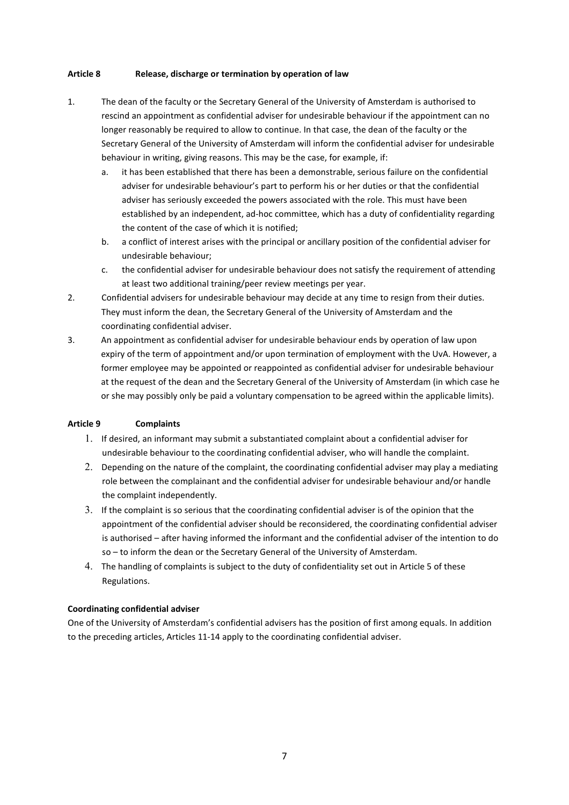#### **Article 8 Release, discharge or termination by operation of law**

- 1. The dean of the faculty or the Secretary General of the University of Amsterdam is authorised to rescind an appointment as confidential adviser for undesirable behaviour if the appointment can no longer reasonably be required to allow to continue. In that case, the dean of the faculty or the Secretary General of the University of Amsterdam will inform the confidential adviser for undesirable behaviour in writing, giving reasons. This may be the case, for example, if:
	- a. it has been established that there has been a demonstrable, serious failure on the confidential adviser for undesirable behaviour's part to perform his or her duties or that the confidential adviser has seriously exceeded the powers associated with the role. This must have been established by an independent, ad-hoc committee, which has a duty of confidentiality regarding the content of the case of which it is notified;
	- b. a conflict of interest arises with the principal or ancillary position of the confidential adviser for undesirable behaviour;
	- c. the confidential adviser for undesirable behaviour does not satisfy the requirement of attending at least two additional training/peer review meetings per year.
- 2. Confidential advisers for undesirable behaviour may decide at any time to resign from their duties. They must inform the dean, the Secretary General of the University of Amsterdam and the coordinating confidential adviser.
- 3. An appointment as confidential adviser for undesirable behaviour ends by operation of law upon expiry of the term of appointment and/or upon termination of employment with the UvA. However, a former employee may be appointed or reappointed as confidential adviser for undesirable behaviour at the request of the dean and the Secretary General of the University of Amsterdam (in which case he or she may possibly only be paid a voluntary compensation to be agreed within the applicable limits).

#### **Article 9 Complaints**

- 1. If desired, an informant may submit a substantiated complaint about a confidential adviser for undesirable behaviour to the coordinating confidential adviser, who will handle the complaint.
- 2. Depending on the nature of the complaint, the coordinating confidential adviser may play a mediating role between the complainant and the confidential adviser for undesirable behaviour and/or handle the complaint independently.
- 3. If the complaint is so serious that the coordinating confidential adviser is of the opinion that the appointment of the confidential adviser should be reconsidered, the coordinating confidential adviser is authorised – after having informed the informant and the confidential adviser of the intention to do so – to inform the dean or the Secretary General of the University of Amsterdam.
- 4. The handling of complaints is subject to the duty of confidentiality set out in Article 5 of these Regulations.

#### **Coordinating confidential adviser**

One of the University of Amsterdam's confidential advisers has the position of first among equals. In addition to the preceding articles, Articles 11-14 apply to the coordinating confidential adviser.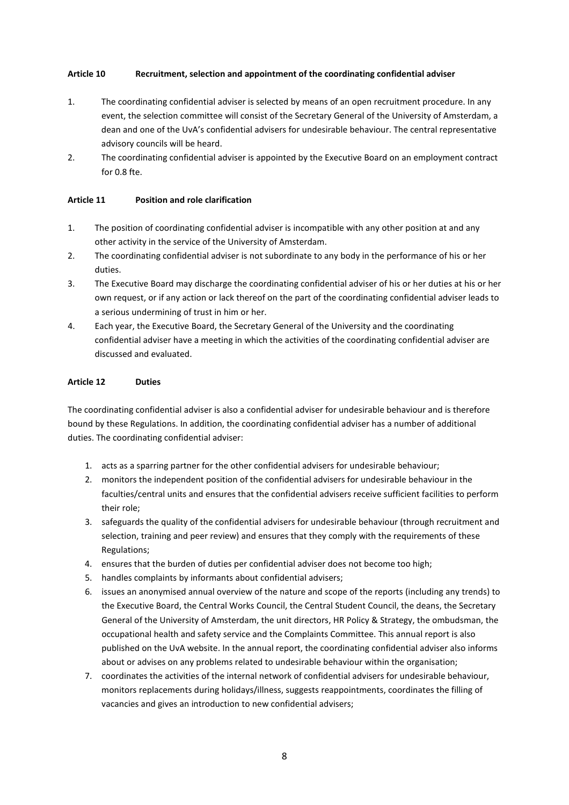## **Article 10 Recruitment, selection and appointment of the coordinating confidential adviser**

- 1. The coordinating confidential adviser is selected by means of an open recruitment procedure. In any event, the selection committee will consist of the Secretary General of the University of Amsterdam, a dean and one of the UvA's confidential advisers for undesirable behaviour. The central representative advisory councils will be heard.
- 2. The coordinating confidential adviser is appointed by the Executive Board on an employment contract for 0.8 fte.

## **Article 11 Position and role clarification**

- 1. The position of coordinating confidential adviser is incompatible with any other position at and any other activity in the service of the University of Amsterdam.
- 2. The coordinating confidential adviser is not subordinate to any body in the performance of his or her duties.
- 3. The Executive Board may discharge the coordinating confidential adviser of his or her duties at his or her own request, or if any action or lack thereof on the part of the coordinating confidential adviser leads to a serious undermining of trust in him or her.
- 4. Each year, the Executive Board, the Secretary General of the University and the coordinating confidential adviser have a meeting in which the activities of the coordinating confidential adviser are discussed and evaluated.

# **Article 12 Duties**

The coordinating confidential adviser is also a confidential adviser for undesirable behaviour and is therefore bound by these Regulations. In addition, the coordinating confidential adviser has a number of additional duties. The coordinating confidential adviser:

- 1. acts as a sparring partner for the other confidential advisers for undesirable behaviour;
- 2. monitors the independent position of the confidential advisers for undesirable behaviour in the faculties/central units and ensures that the confidential advisers receive sufficient facilities to perform their role;
- 3. safeguards the quality of the confidential advisers for undesirable behaviour (through recruitment and selection, training and peer review) and ensures that they comply with the requirements of these Regulations;
- 4. ensures that the burden of duties per confidential adviser does not become too high;
- 5. handles complaints by informants about confidential advisers;
- 6. issues an anonymised annual overview of the nature and scope of the reports (including any trends) to the Executive Board, the Central Works Council, the Central Student Council, the deans, the Secretary General of the University of Amsterdam, the unit directors, HR Policy & Strategy, the ombudsman, the occupational health and safety service and the Complaints Committee. This annual report is also published on the UvA website. In the annual report, the coordinating confidential adviser also informs about or advises on any problems related to undesirable behaviour within the organisation;
- 7. coordinates the activities of the internal network of confidential advisers for undesirable behaviour, monitors replacements during holidays/illness, suggests reappointments, coordinates the filling of vacancies and gives an introduction to new confidential advisers;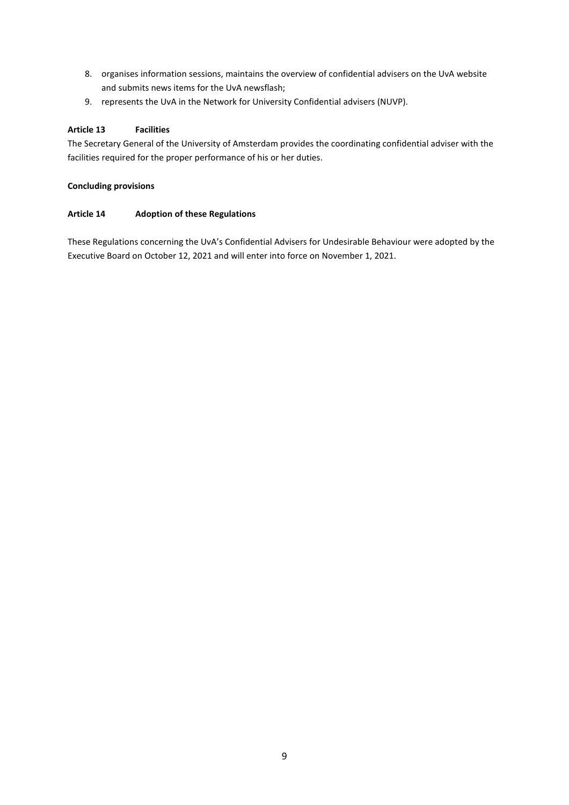- 8. organises information sessions, maintains the overview of confidential advisers on the UvA website and submits news items for the UvA newsflash;
- 9. represents the UvA in the Network for University Confidential advisers (NUVP).

## **Article 13 Facilities**

The Secretary General of the University of Amsterdam provides the coordinating confidential adviser with the facilities required for the proper performance of his or her duties.

## **Concluding provisions**

## **Article 14 Adoption of these Regulations**

These Regulations concerning the UvA's Confidential Advisers for Undesirable Behaviour were adopted by the Executive Board on October 12, 2021 and will enter into force on November 1, 2021.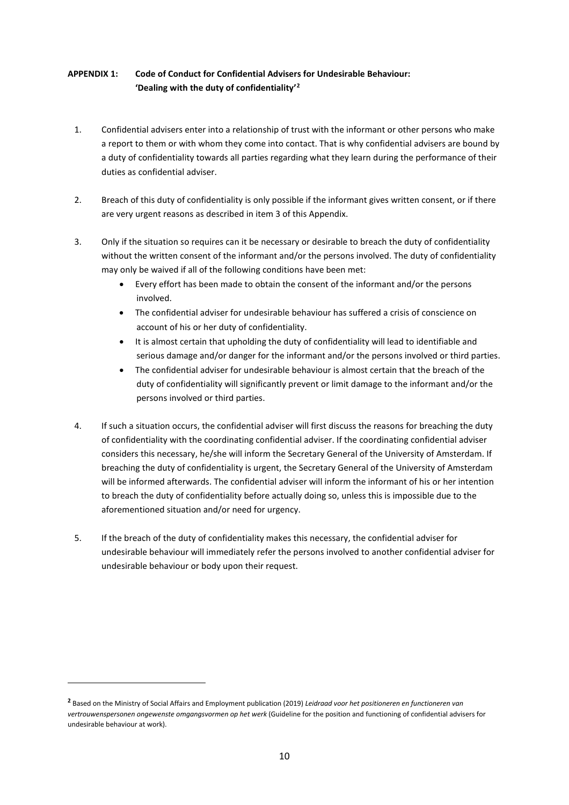# **APPENDIX 1: Code of Conduct for Confidential Advisers for Undesirable Behaviour: 'Dealing with the duty of confidentiality'[2](#page-9-0)**

- 1. Confidential advisers enter into a relationship of trust with the informant or other persons who make a report to them or with whom they come into contact. That is why confidential advisers are bound by a duty of confidentiality towards all parties regarding what they learn during the performance of their duties as confidential adviser.
- 2. Breach of this duty of confidentiality is only possible if the informant gives written consent, or if there are very urgent reasons as described in item 3 of this Appendix.
- 3. Only if the situation so requires can it be necessary or desirable to breach the duty of confidentiality without the written consent of the informant and/or the persons involved. The duty of confidentiality may only be waived if all of the following conditions have been met:
	- Every effort has been made to obtain the consent of the informant and/or the persons involved.
	- The confidential adviser for undesirable behaviour has suffered a crisis of conscience on account of his or her duty of confidentiality.
	- It is almost certain that upholding the duty of confidentiality will lead to identifiable and serious damage and/or danger for the informant and/or the persons involved or third parties.
	- The confidential adviser for undesirable behaviour is almost certain that the breach of the duty of confidentiality will significantly prevent or limit damage to the informant and/or the persons involved or third parties.
- 4. If such a situation occurs, the confidential adviser will first discuss the reasons for breaching the duty of confidentiality with the coordinating confidential adviser. If the coordinating confidential adviser considers this necessary, he/she will inform the Secretary General of the University of Amsterdam. If breaching the duty of confidentiality is urgent, the Secretary General of the University of Amsterdam will be informed afterwards. The confidential adviser will inform the informant of his or her intention to breach the duty of confidentiality before actually doing so, unless this is impossible due to the aforementioned situation and/or need for urgency.
- 5. If the breach of the duty of confidentiality makes this necessary, the confidential adviser for undesirable behaviour will immediately refer the persons involved to another confidential adviser for undesirable behaviour or body upon their request.

<span id="page-9-0"></span>**<sup>2</sup>** Based on the Ministry of Social Affairs and Employment publication (2019) *Leidraad voor het positioneren en functioneren van vertrouwenspersonen ongewenste omgangsvormen op het werk* (Guideline for the position and functioning of confidential advisers for undesirable behaviour at work).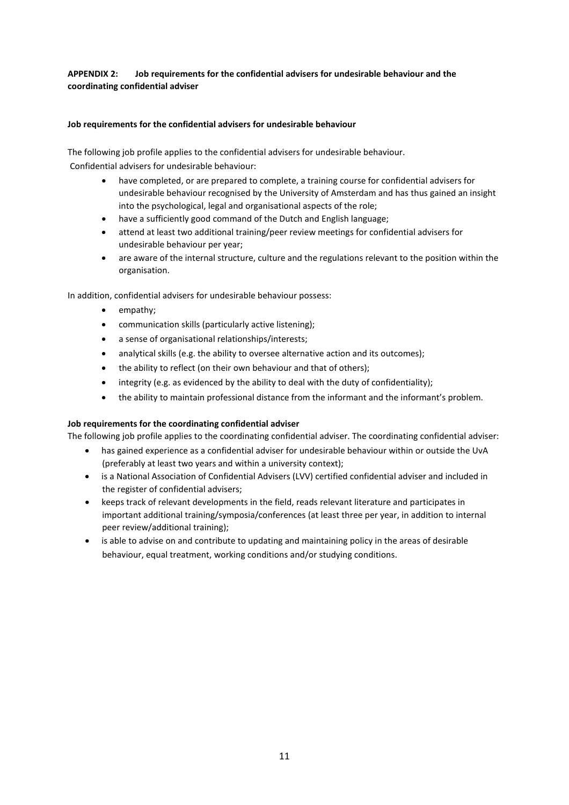# **APPENDIX 2: Job requirements for the confidential advisers for undesirable behaviour and the coordinating confidential adviser**

## **Job requirements for the confidential advisers for undesirable behaviour**

The following job profile applies to the confidential advisers for undesirable behaviour. Confidential advisers for undesirable behaviour:

- have completed, or are prepared to complete, a training course for confidential advisers for undesirable behaviour recognised by the University of Amsterdam and has thus gained an insight into the psychological, legal and organisational aspects of the role;
- have a sufficiently good command of the Dutch and English language;
- attend at least two additional training/peer review meetings for confidential advisers for undesirable behaviour per year;
- are aware of the internal structure, culture and the regulations relevant to the position within the organisation.

In addition, confidential advisers for undesirable behaviour possess:

- empathy;
- communication skills (particularly active listening);
- a sense of organisational relationships/interests;
- analytical skills (e.g. the ability to oversee alternative action and its outcomes);
- the ability to reflect (on their own behaviour and that of others);
- integrity (e.g. as evidenced by the ability to deal with the duty of confidentiality);
- the ability to maintain professional distance from the informant and the informant's problem.

# **Job requirements for the coordinating confidential adviser**

The following job profile applies to the coordinating confidential adviser. The coordinating confidential adviser:

- has gained experience as a confidential adviser for undesirable behaviour within or outside the UvA (preferably at least two years and within a university context);
- is a National Association of Confidential Advisers (LVV) certified confidential adviser and included in the register of confidential advisers;
- keeps track of relevant developments in the field, reads relevant literature and participates in important additional training/symposia/conferences (at least three per year, in addition to internal peer review/additional training);
- is able to advise on and contribute to updating and maintaining policy in the areas of desirable behaviour, equal treatment, working conditions and/or studying conditions.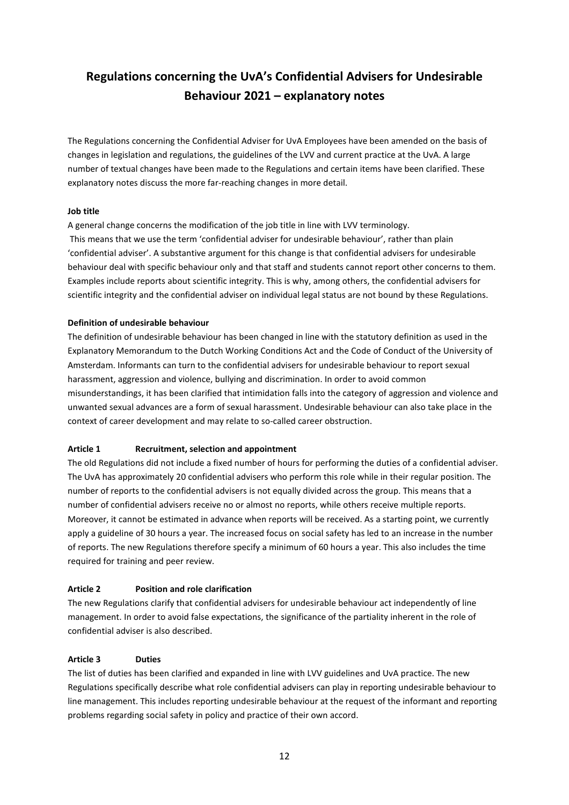# **Regulations concerning the UvA's Confidential Advisers for Undesirable Behaviour 2021 – explanatory notes**

The Regulations concerning the Confidential Adviser for UvA Employees have been amended on the basis of changes in legislation and regulations, the guidelines of the LVV and current practice at the UvA. A large number of textual changes have been made to the Regulations and certain items have been clarified. These explanatory notes discuss the more far-reaching changes in more detail.

## **Job title**

A general change concerns the modification of the job title in line with LVV terminology.

This means that we use the term 'confidential adviser for undesirable behaviour', rather than plain 'confidential adviser'. A substantive argument for this change is that confidential advisers for undesirable behaviour deal with specific behaviour only and that staff and students cannot report other concerns to them. Examples include reports about scientific integrity. This is why, among others, the confidential advisers for scientific integrity and the confidential adviser on individual legal status are not bound by these Regulations.

#### **Definition of undesirable behaviour**

The definition of undesirable behaviour has been changed in line with the statutory definition as used in the Explanatory Memorandum to the Dutch Working Conditions Act and the Code of Conduct of the University of Amsterdam. Informants can turn to the confidential advisers for undesirable behaviour to report sexual harassment, aggression and violence, bullying and discrimination. In order to avoid common misunderstandings, it has been clarified that intimidation falls into the category of aggression and violence and unwanted sexual advances are a form of sexual harassment. Undesirable behaviour can also take place in the context of career development and may relate to so-called career obstruction.

# **Article 1 Recruitment, selection and appointment**

The old Regulations did not include a fixed number of hours for performing the duties of a confidential adviser. The UvA has approximately 20 confidential advisers who perform this role while in their regular position. The number of reports to the confidential advisers is not equally divided across the group. This means that a number of confidential advisers receive no or almost no reports, while others receive multiple reports. Moreover, it cannot be estimated in advance when reports will be received. As a starting point, we currently apply a guideline of 30 hours a year. The increased focus on social safety has led to an increase in the number of reports. The new Regulations therefore specify a minimum of 60 hours a year. This also includes the time required for training and peer review.

#### **Article 2 Position and role clarification**

The new Regulations clarify that confidential advisers for undesirable behaviour act independently of line management. In order to avoid false expectations, the significance of the partiality inherent in the role of confidential adviser is also described.

#### **Article 3 Duties**

The list of duties has been clarified and expanded in line with LVV guidelines and UvA practice. The new Regulations specifically describe what role confidential advisers can play in reporting undesirable behaviour to line management. This includes reporting undesirable behaviour at the request of the informant and reporting problems regarding social safety in policy and practice of their own accord.